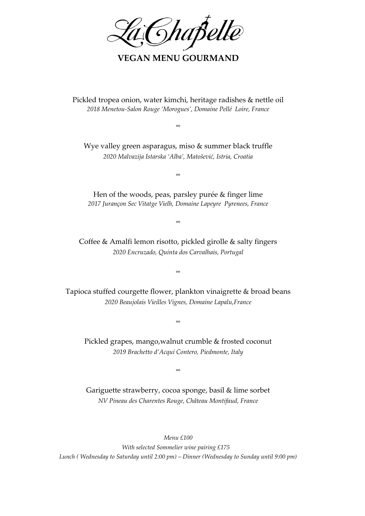Shapelle

**VEGAN MENU GOURMAND**

Pickled tropea onion, water kimchi, heritage radishes & nettle oil *2018 Menetou-Salon Rouge 'Morogues', Domaine Pellé Loire, France*

∞

Wye valley green asparagus, miso & summer black truffle *2020 Malvazija Istarska 'Alba', Matošević, Istria, Croatia*

∞

Hen of the woods, peas, parsley purée & finger lime *2017 Jurançon Sec Vitatge Vielh, Domaine Lapeyre Pyrenees, France*

∞

Coffee & Amalfi lemon risotto, pickled girolle & salty fingers *2020 Encruzado, Quinta dos Carvalhais, Portugal*

∞

Tapioca stuffed courgette flower, plankton vinaigrette & broad beans *2020 Beaujolais Vieilles Vignes, Domaine Lapalu,France*

∞

Pickled grapes, mango,walnut crumble & frosted coconut *2019 Brachetto d'Acqui Contero, Piedmonte, Italy*

∞

Gariguette strawberry, cocoa sponge, basil & lime sorbet *NV Pineau des Charentes Rouge, Château Montifaud, France*

*Menu £100 With selected Sommelier wine pairing £175 Lunch ( Wednesday to Saturday until 2:00 pm) – Dinner (Wednesday to Sunday until 9:00 pm)*